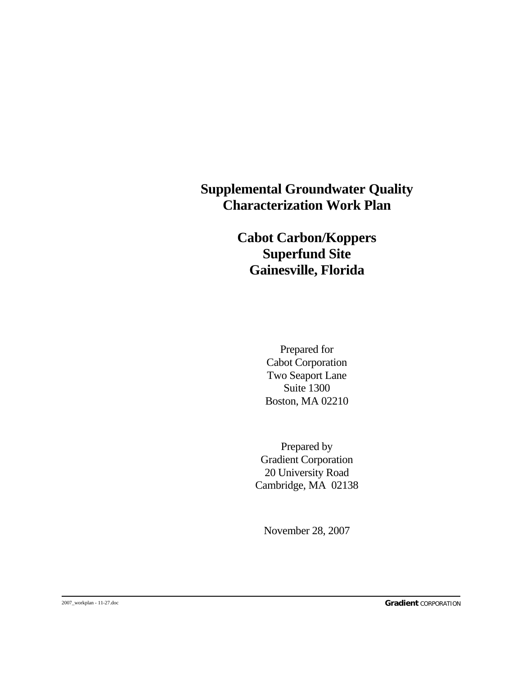### **Supplemental Groundwater Quality Characterization Work Plan**

### **Cabot Carbon/Koppers Superfund Site Gainesville, Florida**

 Prepared for Cabot Corporation Two Seaport Lane Suite 1300 Boston, MA 02210

 Prepared by Gradient Corporation 20 University Road Cambridge, MA 02138

November 28, 2007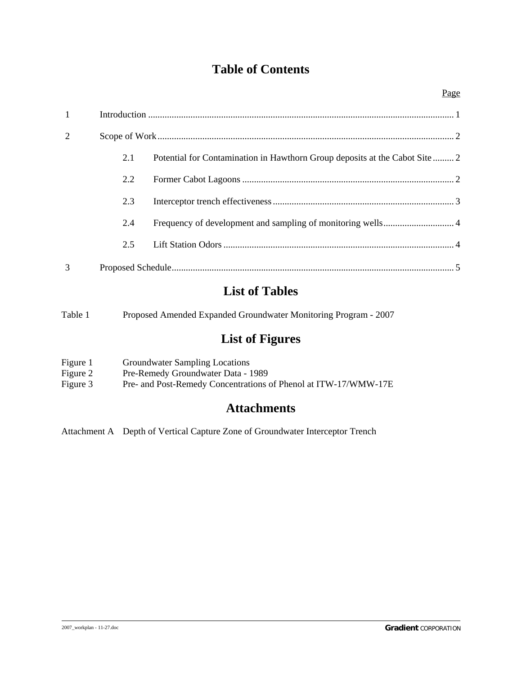### **Table of Contents**

| $\mathbf{1}$   |     |                                                                             |
|----------------|-----|-----------------------------------------------------------------------------|
| $\overline{2}$ |     |                                                                             |
|                | 2.1 | Potential for Contamination in Hawthorn Group deposits at the Cabot Site  2 |
|                | 2.2 |                                                                             |
|                | 2.3 |                                                                             |
|                | 2.4 |                                                                             |
|                | 2.5 |                                                                             |
| 3              |     |                                                                             |

### **List of Tables**

| Table 1 | Proposed Amended Expanded Groundwater Monitoring Program - 2007 |
|---------|-----------------------------------------------------------------|
|         |                                                                 |

## **List of Figures**

| Figure 1 | Groundwater Sampling Locations                                  |
|----------|-----------------------------------------------------------------|
| Figure 2 | Pre-Remedy Groundwater Data - 1989                              |
| Figure 3 | Pre- and Post-Remedy Concentrations of Phenol at ITW-17/WMW-17E |

### **Attachments**

Attachment A Depth of Vertical Capture Zone of Groundwater Interceptor Trench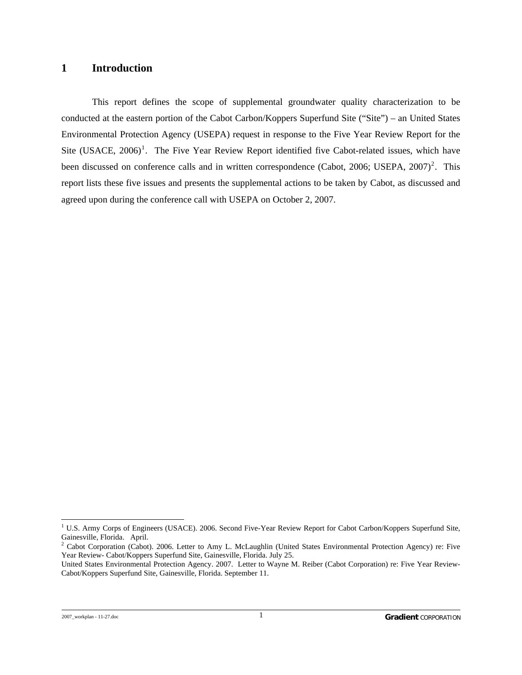#### <span id="page-2-0"></span>**1 Introduction**

This report defines the scope of supplemental groundwater quality characterization to be conducted at the eastern portion of the Cabot Carbon/Koppers Superfund Site ("Site") – an United States Environmental Protection Agency (USEPA) request in response to the Five Year Review Report for the Site (USACE,  $2006$ <sup>[1](#page-2-1)</sup>. The Five Year Review Report identified five Cabot-related issues, which have been discussed on conference calls and in written correspondence (Cabot, [2](#page-2-2)006; USEPA,  $2007$ )<sup>2</sup>. This report lists these five issues and presents the supplemental actions to be taken by Cabot, as discussed and agreed upon during the conference call with USEPA on October 2, 2007.

 $\overline{a}$ 

<span id="page-2-1"></span><sup>&</sup>lt;sup>1</sup> U.S. Army Corps of Engineers (USACE). 2006. Second Five-Year Review Report for Cabot Carbon/Koppers Superfund Site, Gainesville, Florida. April.

<span id="page-2-2"></span><sup>&</sup>lt;sup>2</sup> Cabot Corporation (Cabot). 2006. Letter to Amy L. McLaughlin (United States Environmental Protection Agency) re: Five Year Review- Cabot/Koppers Superfund Site, Gainesville, Florida. July 25.

United States Environmental Protection Agency. 2007. Letter to Wayne M. Reiber (Cabot Corporation) re: Five Year Review-Cabot/Koppers Superfund Site, Gainesville, Florida. September 11.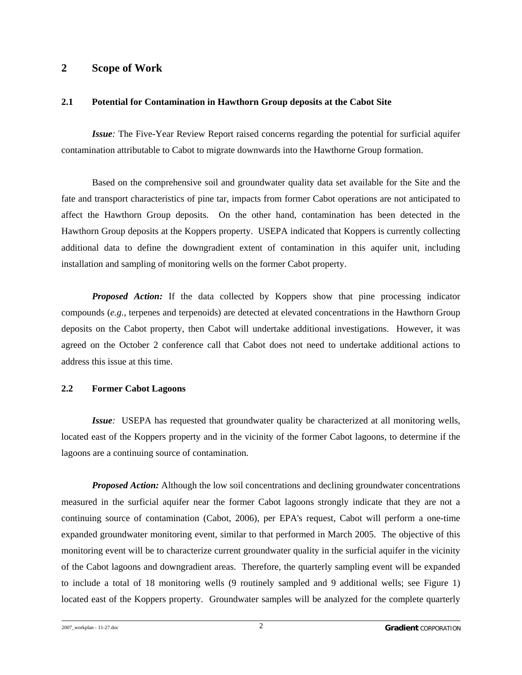#### <span id="page-3-0"></span>**2 Scope of Work**

#### **2.1 Potential for Contamination in Hawthorn Group deposits at the Cabot Site**

*Issue:* The Five-Year Review Report raised concerns regarding the potential for surficial aquifer contamination attributable to Cabot to migrate downwards into the Hawthorne Group formation.

 Based on the comprehensive soil and groundwater quality data set available for the Site and the fate and transport characteristics of pine tar, impacts from former Cabot operations are not anticipated to affect the Hawthorn Group deposits. On the other hand, contamination has been detected in the Hawthorn Group deposits at the Koppers property. USEPA indicated that Koppers is currently collecting additional data to define the downgradient extent of contamination in this aquifer unit, including installation and sampling of monitoring wells on the former Cabot property.

*Proposed Action:* If the data collected by Koppers show that pine processing indicator compounds (*e.g.*, terpenes and terpenoids) are detected at elevated concentrations in the Hawthorn Group deposits on the Cabot property, then Cabot will undertake additional investigations. However, it was agreed on the October 2 conference call that Cabot does not need to undertake additional actions to address this issue at this time.

#### **2.2 Former Cabot Lagoons**

*Issue:* USEPA has requested that groundwater quality be characterized at all monitoring wells, located east of the Koppers property and in the vicinity of the former Cabot lagoons, to determine if the lagoons are a continuing source of contamination.

 *Proposed Action:* Although the low soil concentrations and declining groundwater concentrations measured in the surficial aquifer near the former Cabot lagoons strongly indicate that they are not a continuing source of contamination (Cabot, 2006), per EPA's request, Cabot will perform a one-time expanded groundwater monitoring event, similar to that performed in March 2005. The objective of this monitoring event will be to characterize current groundwater quality in the surficial aquifer in the vicinity of the Cabot lagoons and downgradient areas. Therefore, the quarterly sampling event will be expanded to include a total of 18 monitoring wells (9 routinely sampled and 9 additional wells; see Figure 1) located east of the Koppers property. Groundwater samples will be analyzed for the complete quarterly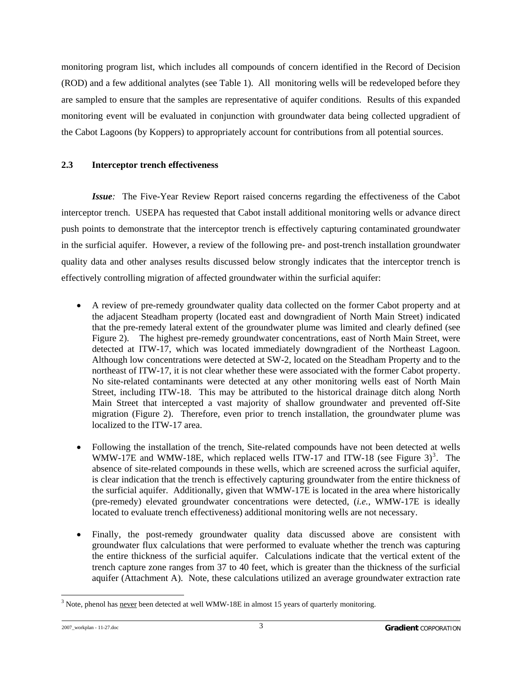<span id="page-4-0"></span>monitoring program list, which includes all compounds of concern identified in the Record of Decision (ROD) and a few additional analytes (see Table 1). All monitoring wells will be redeveloped before they are sampled to ensure that the samples are representative of aquifer conditions. Results of this expanded monitoring event will be evaluated in conjunction with groundwater data being collected upgradient of the Cabot Lagoons (by Koppers) to appropriately account for contributions from all potential sources.

#### **2.3 Interceptor trench effectiveness**

*Issue:* The Five-Year Review Report raised concerns regarding the effectiveness of the Cabot interceptor trench. USEPA has requested that Cabot install additional monitoring wells or advance direct push points to demonstrate that the interceptor trench is effectively capturing contaminated groundwater in the surficial aquifer. However, a review of the following pre- and post-trench installation groundwater quality data and other analyses results discussed below strongly indicates that the interceptor trench is effectively controlling migration of affected groundwater within the surficial aquifer:

- A review of pre-remedy groundwater quality data collected on the former Cabot property and at the adjacent Steadham property (located east and downgradient of North Main Street) indicated that the pre-remedy lateral extent of the groundwater plume was limited and clearly defined (see Figure 2). The highest pre-remedy groundwater concentrations, east of North Main Street, were detected at ITW-17, which was located immediately downgradient of the Northeast Lagoon. Although low concentrations were detected at SW-2, located on the Steadham Property and to the northeast of ITW-17, it is not clear whether these were associated with the former Cabot property. No site-related contaminants were detected at any other monitoring wells east of North Main Street, including ITW-18. This may be attributed to the historical drainage ditch along North Main Street that intercepted a vast majority of shallow groundwater and prevented off-Site migration (Figure 2). Therefore, even prior to trench installation, the groundwater plume was localized to the ITW-17 area.
- Following the installation of the trench, Site-related compounds have not been detected at wells WMW-17E and WMW-18E, which replaced wells ITW-17 and ITW-18 (see Figure [3](#page-4-1))<sup>3</sup>. The absence of site-related compounds in these wells, which are screened across the surficial aquifer, is clear indication that the trench is effectively capturing groundwater from the entire thickness of the surficial aquifer. Additionally, given that WMW-17E is located in the area where historically (pre-remedy) elevated groundwater concentrations were detected, (*i.e.*, WMW-17E is ideally located to evaluate trench effectiveness) additional monitoring wells are not necessary.
- Finally, the post-remedy groundwater quality data discussed above are consistent with groundwater flux calculations that were performed to evaluate whether the trench was capturing the entire thickness of the surficial aquifer. Calculations indicate that the vertical extent of the trench capture zone ranges from 37 to 40 feet, which is greater than the thickness of the surficial aquifer (Attachment A). Note, these calculations utilized an average groundwater extraction rate

<span id="page-4-1"></span><sup>-</sup> $3$  Note, phenol has never been detected at well WMW-18E in almost 15 years of quarterly monitoring.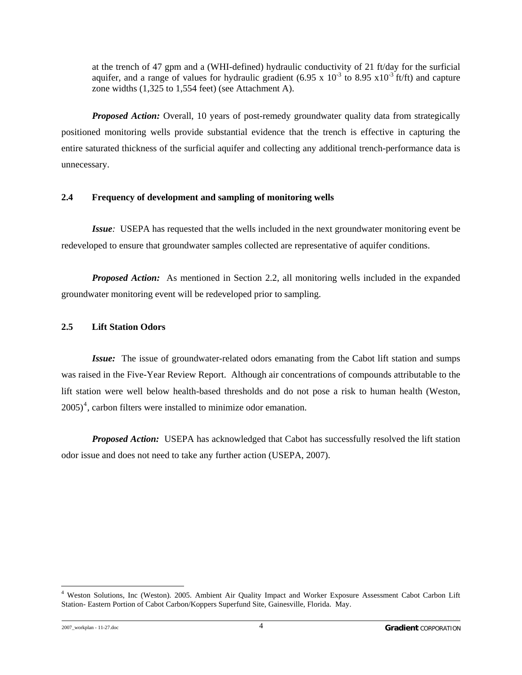<span id="page-5-0"></span>at the trench of 47 gpm and a (WHI-defined) hydraulic conductivity of 21 ft/day for the surficial aquifer, and a range of values for hydraulic gradient (6.95 x  $10^{-3}$  to 8.95 x10<sup>-3</sup> ft/ft) and capture zone widths (1,325 to 1,554 feet) (see Attachment A).

*Proposed Action:* Overall, 10 years of post-remedy groundwater quality data from strategically positioned monitoring wells provide substantial evidence that the trench is effective in capturing the entire saturated thickness of the surficial aquifer and collecting any additional trench-performance data is unnecessary.

#### **2.4 Frequency of development and sampling of monitoring wells**

*Issue:* USEPA has requested that the wells included in the next groundwater monitoring event be redeveloped to ensure that groundwater samples collected are representative of aquifer conditions.

*Proposed Action:* As mentioned in Section 2.2, all monitoring wells included in the expanded groundwater monitoring event will be redeveloped prior to sampling.

#### **2.5 Lift Station Odors**

*Issue:* The issue of groundwater-related odors emanating from the Cabot lift station and sumps was raised in the Five-Year Review Report. Although air concentrations of compounds attributable to the lift station were well below health-based thresholds and do not pose a risk to human health (Weston,  $2005$ <sup>[4](#page-5-1)</sup>, carbon filters were installed to minimize odor emanation.

*Proposed Action:* USEPA has acknowledged that Cabot has successfully resolved the lift station odor issue and does not need to take any further action (USEPA, 2007).

l

<span id="page-5-1"></span><sup>4</sup> Weston Solutions, Inc (Weston). 2005. Ambient Air Quality Impact and Worker Exposure Assessment Cabot Carbon Lift Station- Eastern Portion of Cabot Carbon/Koppers Superfund Site, Gainesville, Florida. May.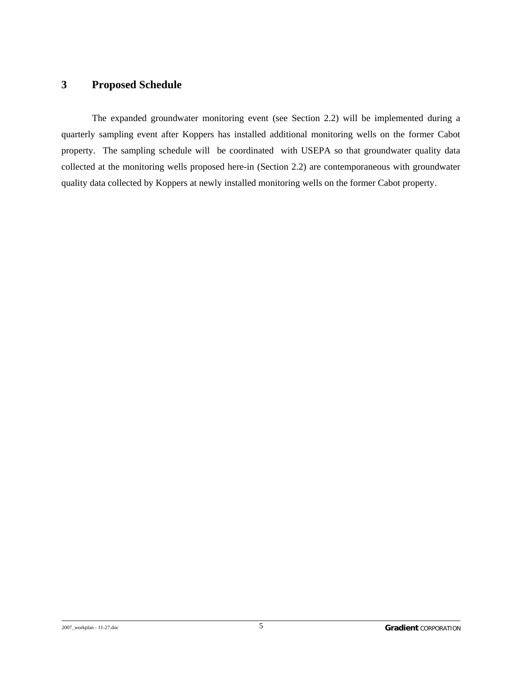#### <span id="page-6-0"></span>**3 Proposed Schedule**

 The expanded groundwater monitoring event (see Section 2.2) will be implemented during a quarterly sampling event after Koppers has installed additional monitoring wells on the former Cabot property. The sampling schedule will be coordinated with USEPA so that groundwater quality data collected at the monitoring wells proposed here-in (Section 2.2) are contemporaneous with groundwater quality data collected by Koppers at newly installed monitoring wells on the former Cabot property.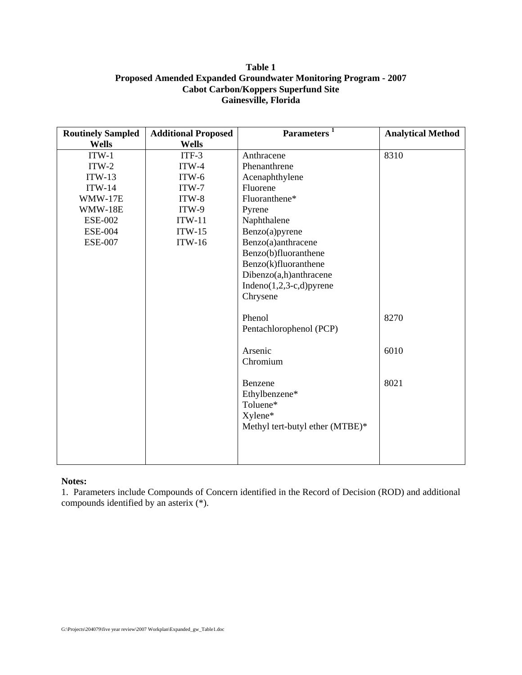#### **Table 1 Proposed Amended Expanded Groundwater Monitoring Program - 2007 Cabot Carbon/Koppers Superfund Site Gainesville, Florida**

| <b>Routinely Sampled</b> | <b>Additional Proposed</b> | 1<br><b>Parameters</b>                                                             | <b>Analytical Method</b> |
|--------------------------|----------------------------|------------------------------------------------------------------------------------|--------------------------|
| <b>Wells</b>             | <b>Wells</b>               |                                                                                    |                          |
| $ITW-1$                  | $ITF-3$                    | Anthracene                                                                         | 8310                     |
| $ITW-2$                  | $ITW-4$                    | Phenanthrene                                                                       |                          |
| $ITW-13$                 | $ITW-6$                    | Acenaphthylene                                                                     |                          |
| $ITW-14$                 | $ITW-7$                    | Fluorene                                                                           |                          |
| WMW-17E                  | $ITW-8$                    | Fluoranthene*                                                                      |                          |
| WMW-18E                  | ITW-9                      | Pyrene                                                                             |                          |
| <b>ESE-002</b>           | $ITW-11$                   | Naphthalene                                                                        |                          |
| <b>ESE-004</b>           | $ITW-15$                   | Benzo(a)pyrene                                                                     |                          |
| <b>ESE-007</b>           | $ITW-16$                   | Benzo(a)anthracene                                                                 |                          |
|                          |                            | Benzo(b)fluoranthene                                                               |                          |
|                          |                            | Benzo(k)fluoranthene                                                               |                          |
|                          |                            | Dibenzo(a,h)anthracene                                                             |                          |
|                          |                            | Indeno $(1,2,3-c,d)$ pyrene                                                        |                          |
|                          |                            | Chrysene                                                                           |                          |
|                          |                            | Phenol                                                                             | 8270                     |
|                          |                            | Pentachlorophenol (PCP)                                                            |                          |
|                          |                            | Arsenic<br>Chromium                                                                | 6010                     |
|                          |                            | Benzene<br>Ethylbenzene*<br>Toluene*<br>Xylene*<br>Methyl tert-butyl ether (MTBE)* | 8021                     |
|                          |                            |                                                                                    |                          |

#### **Notes:**

1. Parameters include Compounds of Concern identified in the Record of Decision (ROD) and additional compounds identified by an asterix (\*).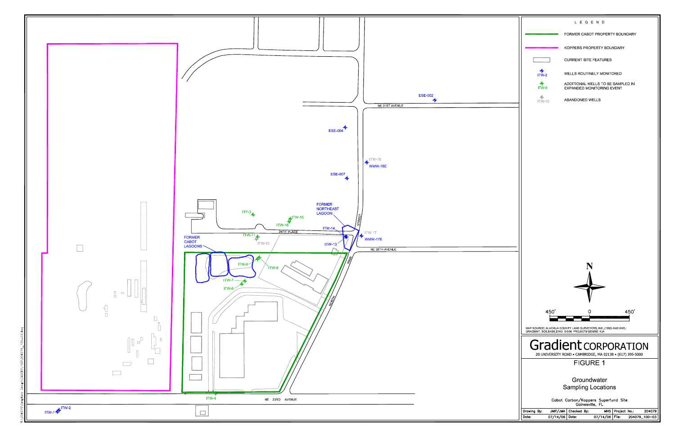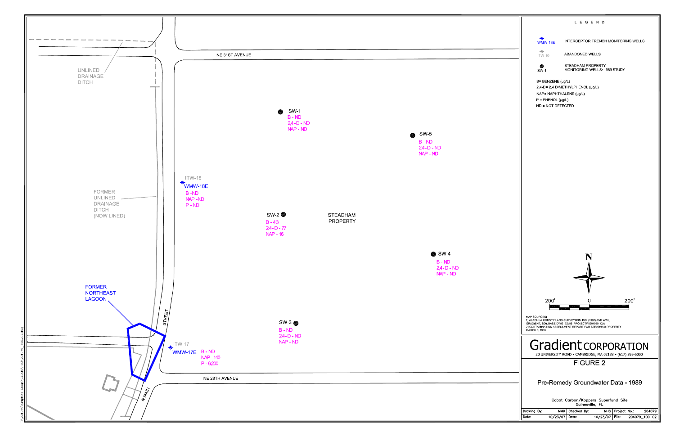

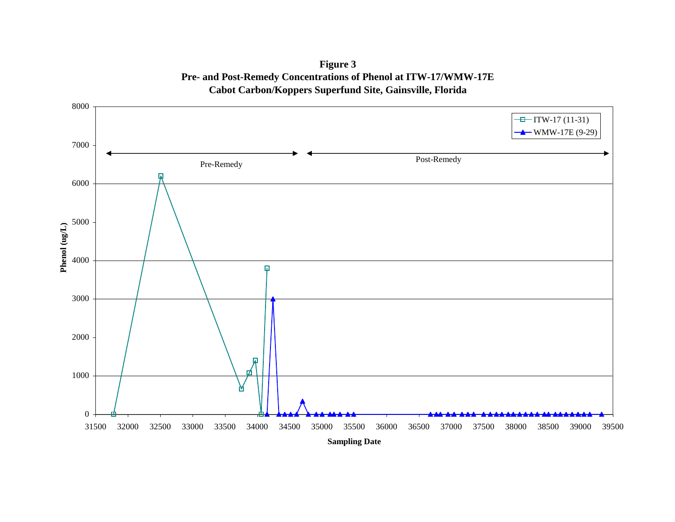**Figure 3 Pre- and Post-Remedy Concentrations of Phenol at ITW-17/WMW-17E Cabot Carbon/Koppers Superfund Site, Gainsville, Florida**

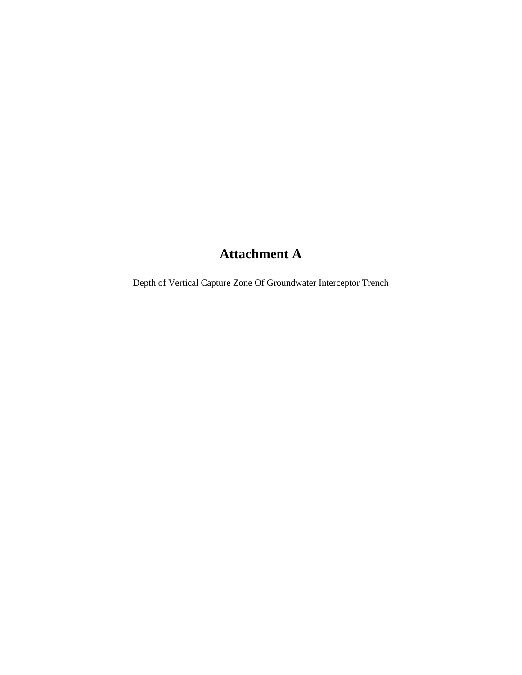# **Attachment A**

Depth of Vertical Capture Zone Of Groundwater Interceptor Trench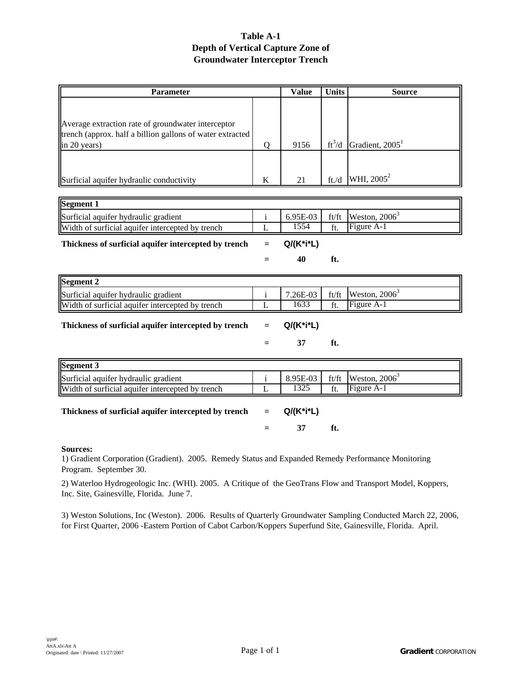#### **Table A-1 Depth of Vertical Capture Zone of Groundwater Interceptor Trench**

| <b>Parameter</b>                                                          |         | <b>Value</b> | <b>Units</b> | <b>Source</b>               |
|---------------------------------------------------------------------------|---------|--------------|--------------|-----------------------------|
|                                                                           |         |              |              |                             |
|                                                                           |         |              |              |                             |
| Average extraction rate of groundwater interceptor                        |         |              |              |                             |
| trench (approx. half a billion gallons of water extracted<br>in 20 years) | Q       | 9156         | $ft^3/d$     | Gradient, 2005 <sup>1</sup> |
|                                                                           |         |              |              |                             |
|                                                                           |         |              |              |                             |
| Surficial aquifer hydraulic conductivity                                  | K       | 21           | ft/d         | WHI, 2005 <sup>2</sup>      |
|                                                                           |         |              |              |                             |
| Segment 1                                                                 |         |              |              |                             |
| Surficial aquifer hydraulic gradient                                      | $\rm i$ | 6.95E-03     | ft/ft        | Weston, $2006^3$            |
| Width of surficial aquifer intercepted by trench                          | L       | 1554         | ft.          | Figure A-1                  |
| Thickness of surficial aquifer intercepted by trench                      | $=$     | Q/(K*i*L)    |              |                             |
|                                                                           | $=$     | 40           | ft.          |                             |
| Segment 2                                                                 |         |              |              |                             |
| Surficial aquifer hydraulic gradient                                      | $\rm i$ | 7.26E-03     | ft/ft        | Weston, $2006^3$            |
| Width of surficial aquifer intercepted by trench                          | L       | 1633         | ft.          | Figure A-1                  |
| Thickness of surficial aquifer intercepted by trench                      | $=$     | Q/(K*i*L)    |              |                             |
|                                                                           | =       | 37           | ft.          |                             |
| Segment 3                                                                 |         |              |              |                             |
| Surficial aquifer hydraulic gradient                                      | $\rm i$ | 8.95E-03     | ft/ft        | Weston, $2006^3$            |
| Width of surficial aquifer intercepted by trench                          | L       | 1325         | ft.          | Figure A-1                  |
|                                                                           |         |              |              |                             |

| Thickness of surficial aquifer intercepted by trench $= Q/(K^*i^*L)$ |         |     |
|----------------------------------------------------------------------|---------|-----|
|                                                                      | $=$ $-$ | ft. |

#### **Sources:**

1) Gradient Corporation (Gradient). 2005. Remedy Status and Expanded Remedy Performance Monitoring Program. September 30.

2) Waterloo Hydrogeologic Inc. (WHI). 2005. A Critique of the GeoTrans Flow and Transport Model, Koppers, Inc. Site, Gainesville, Florida. June 7.

3) Weston Solutions, Inc (Weston). 2006. Results of Quarterly Groundwater Sampling Conducted March 22, 2006, for First Quarter, 2006 -Eastern Portion of Cabot Carbon/Koppers Superfund Site, Gainesville, Florida. April.